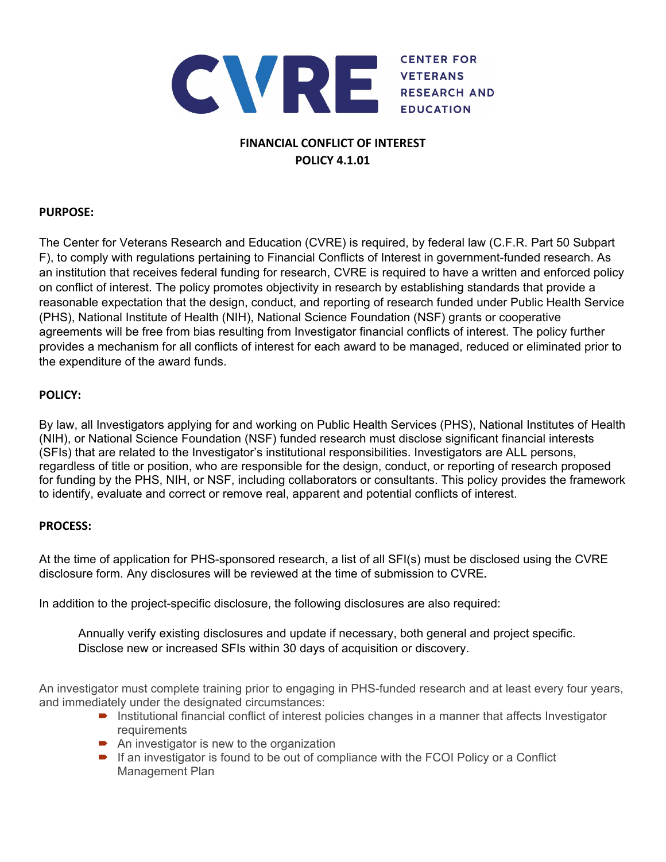

# **FINANCIAL CONFLICT OF INTEREST POLICY 4.1.01**

## **PURPOSE:**

The Center for Veterans Research and Education (CVRE) is required, by federal law (C.F.R. Part 50 Subpart F), to comply with regulations pertaining to Financial Conflicts of Interest in government-funded research. As an institution that receives federal funding for research, CVRE is required to have a written and enforced policy on conflict of interest. The policy promotes objectivity in research by establishing standards that provide a reasonable expectation that the design, conduct, and reporting of research funded under Public Health Service (PHS), National Institute of Health (NIH), National Science Foundation (NSF) grants or cooperative agreements will be free from bias resulting from Investigator financial conflicts of interest. The policy further provides a mechanism for all conflicts of interest for each award to be managed, reduced or eliminated prior to the expenditure of the award funds.

### **POLICY:**

By law, all Investigators applying for and working on Public Health Services (PHS), National Institutes of Health (NIH), or National Science Foundation (NSF) funded research must disclose significant financial interests (SFIs) that are related to the Investigator's institutional responsibilities. Investigators are ALL persons, regardless of title or position, who are responsible for the design, conduct, or reporting of research proposed for funding by the PHS, NIH, or NSF, including collaborators or consultants. This policy provides the framework to identify, evaluate and correct or remove real, apparent and potential conflicts of interest.

### **PROCESS:**

At the time of application for PHS-sponsored research, a list of all SFI(s) must be disclosed using the CVRE disclosure form. Any disclosures will be reviewed at the time of submission to CVRE**.** 

In addition to the project-specific disclosure, the following disclosures are also required:

Annually verify existing disclosures and update if necessary, both general and project specific. Disclose new or increased SFIs within 30 days of acquisition or discovery.

An investigator must complete training prior to engaging in PHS-funded research and at least every four years, and immediately under the designated circumstances:

- **Institutional financial conflict of interest policies changes in a manner that affects Investigator** requirements
- $\rightarrow$  An investigator is new to the organization
- $\blacksquare$  If an investigator is found to be out of compliance with the FCOI Policy or a Conflict Management Plan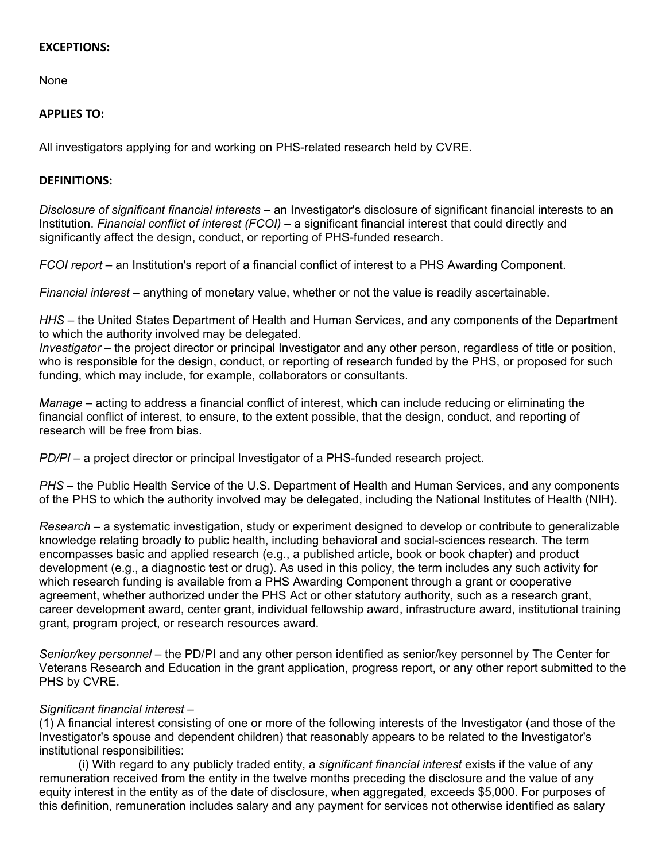# **EXCEPTIONS:**

None

## **APPLIES TO:**

All investigators applying for and working on PHS-related research held by CVRE.

### **DEFINITIONS:**

*Disclosure of significant financial interests* – an Investigator's disclosure of significant financial interests to an Institution. *Financial conflict of interest (FCOI)* – a significant financial interest that could directly and significantly affect the design, conduct, or reporting of PHS-funded research.

*FCOI report –* an Institution's report of a financial conflict of interest to a PHS Awarding Component.

*Financial interest* – anything of monetary value, whether or not the value is readily ascertainable.

*HHS* – the United States Department of Health and Human Services, and any components of the Department to which the authority involved may be delegated.

*Investigator* – the project director or principal Investigator and any other person, regardless of title or position, who is responsible for the design, conduct, or reporting of research funded by the PHS, or proposed for such funding, which may include, for example, collaborators or consultants.

*Manage* – acting to address a financial conflict of interest, which can include reducing or eliminating the financial conflict of interest, to ensure, to the extent possible, that the design, conduct, and reporting of research will be free from bias.

*PD/PI* – a project director or principal Investigator of a PHS-funded research project.

*PHS* – the Public Health Service of the U.S. Department of Health and Human Services, and any components of the PHS to which the authority involved may be delegated, including the National Institutes of Health (NIH).

*Research* – a systematic investigation, study or experiment designed to develop or contribute to generalizable knowledge relating broadly to public health, including behavioral and social-sciences research. The term encompasses basic and applied research (e.g., a published article, book or book chapter) and product development (e.g., a diagnostic test or drug). As used in this policy, the term includes any such activity for which research funding is available from a PHS Awarding Component through a grant or cooperative agreement, whether authorized under the PHS Act or other statutory authority, such as a research grant, career development award, center grant, individual fellowship award, infrastructure award, institutional training grant, program project, or research resources award.

*Senior/key personnel* – the PD/PI and any other person identified as senior/key personnel by The Center for Veterans Research and Education in the grant application, progress report, or any other report submitted to the PHS by CVRE.

### *Significant financial interest* –

(1) A financial interest consisting of one or more of the following interests of the Investigator (and those of the Investigator's spouse and dependent children) that reasonably appears to be related to the Investigator's institutional responsibilities:

(i) With regard to any publicly traded entity, a *significant financial interest* exists if the value of any remuneration received from the entity in the twelve months preceding the disclosure and the value of any equity interest in the entity as of the date of disclosure, when aggregated, exceeds \$5,000. For purposes of this definition, remuneration includes salary and any payment for services not otherwise identified as salary